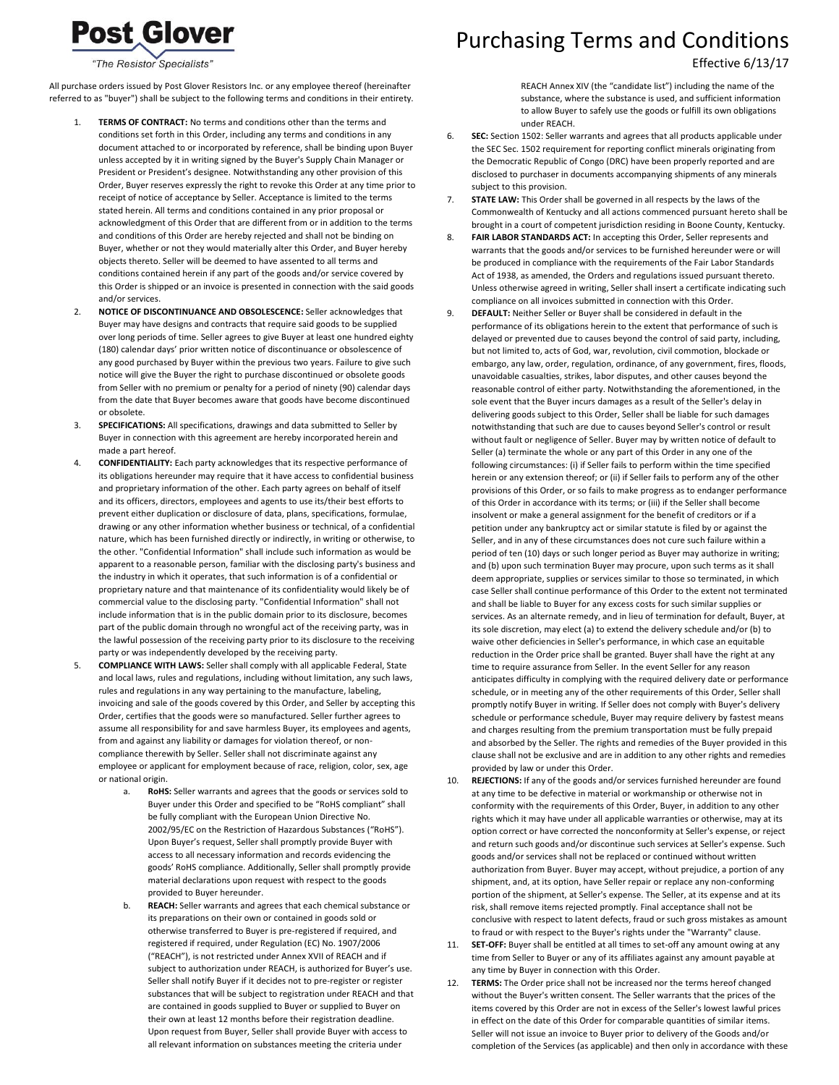"The Resistor Specialists"

**Post Glover** 

All purchase orders issued by Post Glover Resistors Inc. or any employee thereof (hereinafter referred to as "buyer") shall be subject to the following terms and conditions in their entirety.

- TERMS OF CONTRACT: No terms and conditions other than the terms and conditions set forth in this Order, including any terms and conditions in any document attached to or incorporated by reference, shall be binding upon Buyer unless accepted by it in writing signed by the Buyer's Supply Chain Manager or President or President's designee. Notwithstanding any other provision of this Order, Buyer reserves expressly the right to revoke this Order at any time prior to receipt of notice of acceptance by Seller. Acceptance is limited to the terms stated herein. All terms and conditions contained in any prior proposal or acknowledgment of this Order that are different from or in addition to the terms and conditions of this Order are hereby rejected and shall not be binding on Buyer, whether or not they would materially alter this Order, and Buyer hereby objects thereto. Seller will be deemed to have assented to all terms and conditions contained herein if any part of the goods and/or service covered by this Order is shipped or an invoice is presented in connection with the said goods and/or services.
- 2. **NOTICE OF DISCONTINUANCE AND OBSOLESCENCE:** Seller acknowledges that Buyer may have designs and contracts that require said goods to be supplied over long periods of time. Seller agrees to give Buyer at least one hundred eighty (180) calendar days' prior written notice of discontinuance or obsolescence of any good purchased by Buyer within the previous two years. Failure to give such notice will give the Buyer the right to purchase discontinued or obsolete goods from Seller with no premium or penalty for a period of ninety (90) calendar days from the date that Buyer becomes aware that goods have become discontinued or obsolete.
- 3. **SPECIFICATIONS:** All specifications, drawings and data submitted to Seller by Buyer in connection with this agreement are hereby incorporated herein and made a part hereof.
- 4. **CONFIDENTIALITY:** Each party acknowledges that its respective performance of its obligations hereunder may require that it have access to confidential business and proprietary information of the other. Each party agrees on behalf of itself and its officers, directors, employees and agents to use its/their best efforts to prevent either duplication or disclosure of data, plans, specifications, formulae, drawing or any other information whether business or technical, of a confidential nature, which has been furnished directly or indirectly, in writing or otherwise, to the other. "Confidential Information" shall include such information as would be apparent to a reasonable person, familiar with the disclosing party's business and the industry in which it operates, that such information is of a confidential or proprietary nature and that maintenance of its confidentiality would likely be of commercial value to the disclosing party. "Confidential Information" shall not include information that is in the public domain prior to its disclosure, becomes part of the public domain through no wrongful act of the receiving party, was in the lawful possession of the receiving party prior to its disclosure to the receiving party or was independently developed by the receiving party.
- 5. **COMPLIANCE WITH LAWS:** Seller shall comply with all applicable Federal, State and local laws, rules and regulations, including without limitation, any such laws, rules and regulations in any way pertaining to the manufacture, labeling, invoicing and sale of the goods covered by this Order, and Seller by accepting this Order, certifies that the goods were so manufactured. Seller further agrees to assume all responsibility for and save harmless Buyer, its employees and agents, from and against any liability or damages for violation thereof, or noncompliance therewith by Seller. Seller shall not discriminate against any employee or applicant for employment because of race, religion, color, sex, age or national origin.
	- a. **RoHS:** Seller warrants and agrees that the goods or services sold to Buyer under this Order and specified to be "RoHS compliant" shall be fully compliant with the European Union Directive No. 2002/95/EC on the Restriction of Hazardous Substances ("RoHS"). Upon Buyer's request, Seller shall promptly provide Buyer with access to all necessary information and records evidencing the goods' RoHS compliance. Additionally, Seller shall promptly provide material declarations upon request with respect to the goods provided to Buyer hereunder.
	- b. **REACH:** Seller warrants and agrees that each chemical substance or its preparations on their own or contained in goods sold or otherwise transferred to Buyer is pre-registered if required, and registered if required, under Regulation (EC) No. 1907/2006 ("REACH"), is not restricted under Annex XVII of REACH and if subject to authorization under REACH, is authorized for Buyer's use. Seller shall notify Buyer if it decides not to pre-register or register substances that will be subject to registration under REACH and that are contained in goods supplied to Buyer or supplied to Buyer on their own at least 12 months before their registration deadline. Upon request from Buyer, Seller shall provide Buyer with access to all relevant information on substances meeting the criteria under

## Purchasing Terms and Conditions

## Effective 6/13/17

REACH Annex XIV (the "candidate list") including the name of the substance, where the substance is used, and sufficient information to allow Buyer to safely use the goods or fulfill its own obligations under REACH.

- 6. **SEC:** Section 1502: Seller warrants and agrees that all products applicable under the SEC Sec. 1502 requirement for reporting conflict minerals originating from the Democratic Republic of Congo (DRC) have been properly reported and are disclosed to purchaser in documents accompanying shipments of any minerals subject to this provision.
- 7. **STATE LAW:** This Order shall be governed in all respects by the laws of the Commonwealth of Kentucky and all actions commenced pursuant hereto shall be brought in a court of competent jurisdiction residing in Boone County, Kentucky.
- 8. **FAIR LABOR STANDARDS ACT:** In accepting this Order, Seller represents and warrants that the goods and/or services to be furnished hereunder were or will be produced in compliance with the requirements of the Fair Labor Standards Act of 1938, as amended, the Orders and regulations issued pursuant thereto. Unless otherwise agreed in writing, Seller shall insert a certificate indicating such compliance on all invoices submitted in connection with this Order.
- 9. **DEFAULT:** Neither Seller or Buyer shall be considered in default in the performance of its obligations herein to the extent that performance of such is delayed or prevented due to causes beyond the control of said party, including, but not limited to, acts of God, war, revolution, civil commotion, blockade or embargo, any law, order, regulation, ordinance, of any government, fires, floods, unavoidable casualties, strikes, labor disputes, and other causes beyond the reasonable control of either party. Notwithstanding the aforementioned, in the sole event that the Buyer incurs damages as a result of the Seller's delay in delivering goods subject to this Order, Seller shall be liable for such damages notwithstanding that such are due to causes beyond Seller's control or result without fault or negligence of Seller. Buyer may by written notice of default to Seller (a) terminate the whole or any part of this Order in any one of the following circumstances: (i) if Seller fails to perform within the time specified herein or any extension thereof; or (ii) if Seller fails to perform any of the other provisions of this Order, or so fails to make progress as to endanger performance of this Order in accordance with its terms; or (iii) if the Seller shall become insolvent or make a general assignment for the benefit of creditors or if a petition under any bankruptcy act or similar statute is filed by or against the Seller, and in any of these circumstances does not cure such failure within a period of ten (10) days or such longer period as Buyer may authorize in writing; and (b) upon such termination Buyer may procure, upon such terms as it shall deem appropriate, supplies or services similar to those so terminated, in which case Seller shall continue performance of this Order to the extent not terminated and shall be liable to Buyer for any excess costs for such similar supplies or services. As an alternate remedy, and in lieu of termination for default, Buyer, at its sole discretion, may elect (a) to extend the delivery schedule and/or (b) to waive other deficiencies in Seller's performance, in which case an equitable reduction in the Order price shall be granted. Buyer shall have the right at any time to require assurance from Seller. In the event Seller for any reason anticipates difficulty in complying with the required delivery date or performance schedule, or in meeting any of the other requirements of this Order, Seller shall promptly notify Buyer in writing. If Seller does not comply with Buyer's delivery schedule or performance schedule, Buyer may require delivery by fastest means and charges resulting from the premium transportation must be fully prepaid and absorbed by the Seller. The rights and remedies of the Buyer provided in this clause shall not be exclusive and are in addition to any other rights and remedies provided by law or under this Order.
- 10. **REJECTIONS:** If any of the goods and/or services furnished hereunder are found at any time to be defective in material or workmanship or otherwise not in conformity with the requirements of this Order, Buyer, in addition to any other rights which it may have under all applicable warranties or otherwise, may at its option correct or have corrected the nonconformity at Seller's expense, or reject and return such goods and/or discontinue such services at Seller's expense. Such goods and/or services shall not be replaced or continued without written authorization from Buyer. Buyer may accept, without prejudice, a portion of any shipment, and, at its option, have Seller repair or replace any non-conforming portion of the shipment, at Seller's expense. The Seller, at its expense and at its risk, shall remove items rejected promptly. Final acceptance shall not be conclusive with respect to latent defects, fraud or such gross mistakes as amount to fraud or with respect to the Buyer's rights under the "Warranty" clause.
- 11. **SET-OFF:** Buyer shall be entitled at all times to set-off any amount owing at any time from Seller to Buyer or any of its affiliates against any amount payable at any time by Buyer in connection with this Order.
- 12. **TERMS:** The Order price shall not be increased nor the terms hereof changed without the Buyer's written consent. The Seller warrants that the prices of the items covered by this Order are not in excess of the Seller's lowest lawful prices in effect on the date of this Order for comparable quantities of similar items. Seller will not issue an invoice to Buyer prior to delivery of the Goods and/or completion of the Services (as applicable) and then only in accordance with these